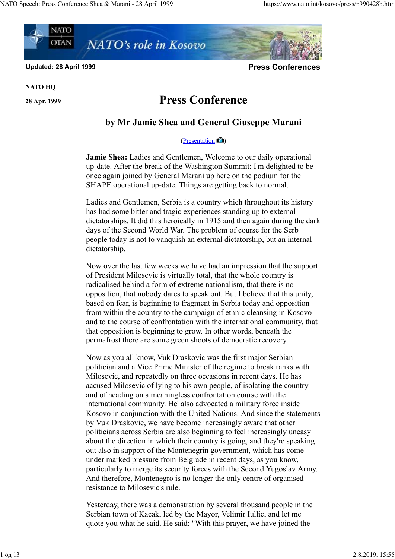

Updated: 28 April 1999 **Press Conferences** Conferences Conferences Conferences Conferences Conferences Conferences

NATO HQ

## 28 Apr. 1999 Press Conference

## by Mr Jamie Shea and General Giuseppe Marani

## $(Presentation$ )

Jamie Shea: Ladies and Gentlemen, Welcome to our daily operational up-date. After the break of the Washington Summit; I'm delighted to be once again joined by General Marani up here on the podium for the SHAPE operational up-date. Things are getting back to normal.

Ladies and Gentlemen, Serbia is a country which throughout its history has had some bitter and tragic experiences standing up to external dictatorships. It did this heroically in 1915 and then again during the dark days of the Second World War. The problem of course for the Serb people today is not to vanquish an external dictatorship, but an internal dictatorship.

Now over the last few weeks we have had an impression that the support of President Milosevic is virtually total, that the whole country is radicalised behind a form of extreme nationalism, that there is no opposition, that nobody dares to speak out. But I believe that this unity, based on fear, is beginning to fragment in Serbia today and opposition from within the country to the campaign of ethnic cleansing in Kosovo and to the course of confrontation with the international community, that that opposition is beginning to grow. In other words, beneath the permafrost there are some green shoots of democratic recovery.

Now as you all know, Vuk Draskovic was the first major Serbian politician and a Vice Prime Minister of the regime to break ranks with Milosevic, and repeatedly on three occasions in recent days. He has accused Milosevic of lying to his own people, of isolating the country and of heading on a meaningless confrontation course with the international community. He' also advocated a military force inside Kosovo in conjunction with the United Nations. And since the statements by Vuk Draskovic, we have become increasingly aware that other politicians across Serbia are also beginning to feel increasingly uneasy about the direction in which their country is going, and they're speaking out also in support of the Montenegrin government, which has come under marked pressure from Belgrade in recent days, as you know, particularly to merge its security forces with the Second Yugoslav Army. And therefore, Montenegro is no longer the only centre of organised resistance to Milosevic's rule.

Yesterday, there was a demonstration by several thousand people in the Serbian town of Kacak, led by the Mayor, Velimir Iullic, and let me quote you what he said. He said: "With this prayer, we have joined the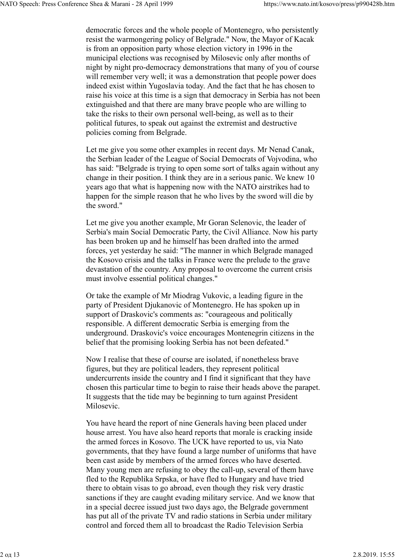democratic forces and the whole people of Montenegro, who persistently resist the warmongering policy of Belgrade." Now, the Mayor of Kacak is from an opposition party whose election victory in 1996 in the municipal elections was recognised by Milosevic only after months of night by night pro-democracy demonstrations that many of you of course will remember very well; it was a demonstration that people power does indeed exist within Yugoslavia today. And the fact that he has chosen to raise his voice at this time is a sign that democracy in Serbia has not been extinguished and that there are many brave people who are willing to take the risks to their own personal well-being, as well as to their political futures, to speak out against the extremist and destructive policies coming from Belgrade.

Let me give you some other examples in recent days. Mr Nenad Canak, the Serbian leader of the League of Social Democrats of Vojvodina, who has said: "Belgrade is trying to open some sort of talks again without any change in their position. I think they are in a serious panic. We knew 10 years ago that what is happening now with the NATO airstrikes had to happen for the simple reason that he who lives by the sword will die by the sword."

Let me give you another example, Mr Goran Selenovic, the leader of Serbia's main Social Democratic Party, the Civil Alliance. Now his party has been broken up and he himself has been drafted into the armed forces, yet yesterday he said: "The manner in which Belgrade managed the Kosovo crisis and the talks in France were the prelude to the grave devastation of the country. Any proposal to overcome the current crisis must involve essential political changes."

Or take the example of Mr Miodrag Vukovic, a leading figure in the party of President Djukanovic of Montenegro. He has spoken up in support of Draskovic's comments as: "courageous and politically responsible. A different democratic Serbia is emerging from the underground. Draskovic's voice encourages Montenegrin citizens in the belief that the promising looking Serbia has not been defeated."

Now I realise that these of course are isolated, if nonetheless brave figures, but they are political leaders, they represent political undercurrents inside the country and I find it significant that they have chosen this particular time to begin to raise their heads above the parapet. It suggests that the tide may be beginning to turn against President Milosevic.

You have heard the report of nine Generals having been placed under house arrest. You have also heard reports that morale is cracking inside the armed forces in Kosovo. The UCK have reported to us, via Nato governments, that they have found a large number of uniforms that have been cast aside by members of the armed forces who have deserted. Many young men are refusing to obey the call-up, several of them have fled to the Republika Srpska, or have fled to Hungary and have tried there to obtain visas to go abroad, even though they risk very drastic sanctions if they are caught evading military service. And we know that in a special decree issued just two days ago, the Belgrade government has put all of the private TV and radio stations in Serbia under military control and forced them all to broadcast the Radio Television Serbia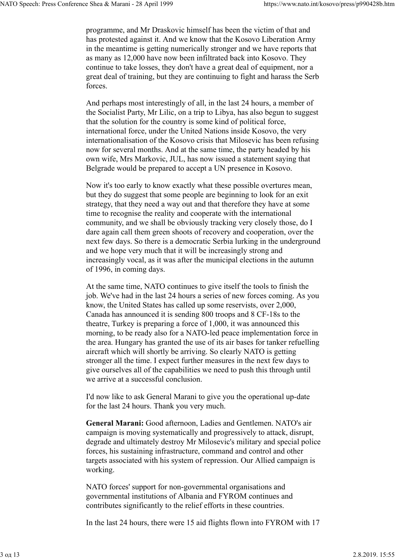programme, and Mr Draskovic himself has been the victim of that and has protested against it. And we know that the Kosovo Liberation Army in the meantime is getting numerically stronger and we have reports that as many as 12,000 have now been infiltrated back into Kosovo. They continue to take losses, they don't have a great deal of equipment, nor a great deal of training, but they are continuing to fight and harass the Serb forces.

And perhaps most interestingly of all, in the last 24 hours, a member of the Socialist Party, Mr Lilic, on a trip to Libya, has also begun to suggest that the solution for the country is some kind of political force, international force, under the United Nations inside Kosovo, the very internationalisation of the Kosovo crisis that Milosevic has been refusing now for several months. And at the same time, the party headed by his own wife, Mrs Markovic, JUL, has now issued a statement saying that Belgrade would be prepared to accept a UN presence in Kosovo.

Now it's too early to know exactly what these possible overtures mean, but they do suggest that some people are beginning to look for an exit strategy, that they need a way out and that therefore they have at some time to recognise the reality and cooperate with the international community, and we shall be obviously tracking very closely those, do I dare again call them green shoots of recovery and cooperation, over the next few days. So there is a democratic Serbia lurking in the underground and we hope very much that it will be increasingly strong and increasingly vocal, as it was after the municipal elections in the autumn of 1996, in coming days.

At the same time, NATO continues to give itself the tools to finish the job. We've had in the last 24 hours a series of new forces coming. As you know, the United States has called up some reservists, over 2,000, Canada has announced it is sending 800 troops and 8 CF-18s to the theatre, Turkey is preparing a force of 1,000, it was announced this morning, to be ready also for a NATO-led peace implementation force in the area. Hungary has granted the use of its air bases for tanker refuelling aircraft which will shortly be arriving. So clearly NATO is getting stronger all the time. I expect further measures in the next few days to give ourselves all of the capabilities we need to push this through until we arrive at a successful conclusion.

I'd now like to ask General Marani to give you the operational up-date for the last 24 hours. Thank you very much.

General Marani: Good afternoon, Ladies and Gentlemen. NATO's air campaign is moving systematically and progressively to attack, disrupt, degrade and ultimately destroy Mr Milosevic's military and special police forces, his sustaining infrastructure, command and control and other targets associated with his system of repression. Our Allied campaign is working.

NATO forces' support for non-governmental organisations and governmental institutions of Albania and FYROM continues and contributes significantly to the relief efforts in these countries.

In the last 24 hours, there were 15 aid flights flown into FYROM with 17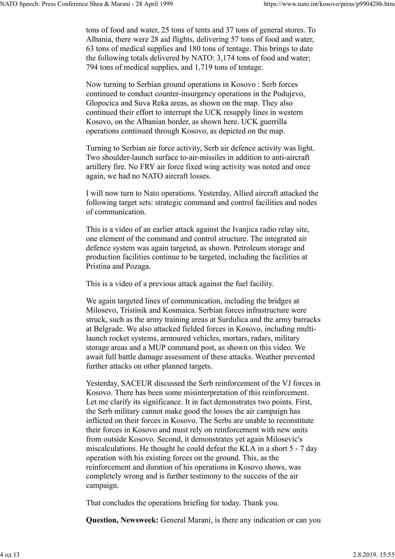tons of food and water, 25 tons of tents and 37 tons of general stores. To Albania, there were 28 aid flights, delivering 57 tons of food and water, 63 tons of medical supplies and 180 tons of tentage. This brings to date the following totals delivered by NATO: 3,174 tons of food and water; 794 tons of medical supplies, and 1,719 tons of tentage.

Now turning to Serbian ground operations in Kosovo : Serb forces continued to conduct counter-insurgency operations in the Podujevo, Glopocica and Suva Reka areas, as shown on the map. They also continued their effort to interrupt the UCK resupply lines in western Kosovo, on the Albanian border, as shown here. UCK guerrilla operations continued through Kosovo, as depicted on the map.

Turning to Serbian air force activity, Serb air defence activity was light. Two shoulder-launch surface to-air-missiles in addition to anti-aircraft artillery fire. No FRY air force fixed wing activity was noted and once again, we had no NATO aircraft losses.

I will now turn to Nato operations. Yesterday, Allied aircraft attacked the following target sets: strategic command and control facilities and nodes of communication.

This is a video of an earlier attack against the Ivanjica radio relay site, one element of the command and control structure. The integrated air defence system was again targeted, as shown. Petroleum storage and production facilities continue to be targeted, including the facilities at Pristina and Pozaga.

This is a video of a previous attack against the fuel facility.

We again targeted lines of communication, including the bridges at Milosevo, Tristinik and Kosmaica. Serbian forces infrastructure were struck, such as the army training areas at Surdulica and the army barracks at Belgrade. We also attacked fielded forces in Kosovo, including multilaunch rocket systems, armoured vehicles, mortars, radars, military storage areas and a MUP command post, as shown on this video. We await full battle damage assessment of these attacks. Weather prevented further attacks on other planned targets.

Yesterday, SACEUR discussed the Serb reinforcement of the VJ forces in Kosovo. There has been some misinterpretation of this reinforcement. Let me clarify its significance. It in fact demonstrates two points. First, the Serb military cannot make good the losses the air campaign has inflicted on their forces in Kosovo. The Serbs are unable to reconstitute their forces in Kosovo and must rely on reinforcement with new units from outside Kosovo. Second, it demonstrates yet again Milosevic's miscalculations. He thought he could defeat the KLA in a short 5 - 7 day operation with his existing forces on the ground. This, as the reinforcement and duration of his operations in Kosovo shows, was completely wrong and is further testimony to the success of the air campaign.

That concludes the operations briefing for today. Thank you.

Question, Newsweek: General Marani, is there any indication or can you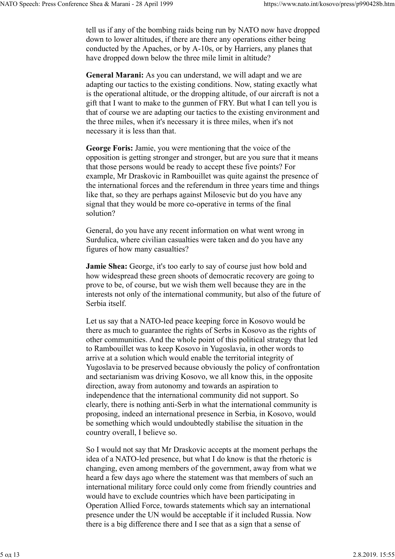tell us if any of the bombing raids being run by NATO now have dropped down to lower altitudes, if there are there any operations either being conducted by the Apaches, or by A-10s, or by Harriers, any planes that have dropped down below the three mile limit in altitude?

General Marani: As you can understand, we will adapt and we are adapting our tactics to the existing conditions. Now, stating exactly what is the operational altitude, or the dropping altitude, of our aircraft is not a gift that I want to make to the gunmen of FRY. But what I can tell you is that of course we are adapting our tactics to the existing environment and the three miles, when it's necessary it is three miles, when it's not necessary it is less than that.

George Foris: Jamie, you were mentioning that the voice of the opposition is getting stronger and stronger, but are you sure that it means that those persons would be ready to accept these five points? For example, Mr Draskovic in Rambouillet was quite against the presence of the international forces and the referendum in three years time and things like that, so they are perhaps against Milosevic but do you have any signal that they would be more co-operative in terms of the final solution?

General, do you have any recent information on what went wrong in Surdulica, where civilian casualties were taken and do you have any figures of how many casualties?

Jamie Shea: George, it's too early to say of course just how bold and how widespread these green shoots of democratic recovery are going to prove to be, of course, but we wish them well because they are in the interests not only of the international community, but also of the future of Serbia itself.

Let us say that a NATO-led peace keeping force in Kosovo would be there as much to guarantee the rights of Serbs in Kosovo as the rights of other communities. And the whole point of this political strategy that led to Rambouillet was to keep Kosovo in Yugoslavia, in other words to arrive at a solution which would enable the territorial integrity of Yugoslavia to be preserved because obviously the policy of confrontation and sectarianism was driving Kosovo, we all know this, in the opposite direction, away from autonomy and towards an aspiration to independence that the international community did not support. So clearly, there is nothing anti-Serb in what the international community is proposing, indeed an international presence in Serbia, in Kosovo, would be something which would undoubtedly stabilise the situation in the country overall, I believe so.

So I would not say that Mr Draskovic accepts at the moment perhaps the idea of a NATO-led presence, but what I do know is that the rhetoric is changing, even among members of the government, away from what we heard a few days ago where the statement was that members of such an international military force could only come from friendly countries and would have to exclude countries which have been participating in Operation Allied Force, towards statements which say an international presence under the UN would be acceptable if it included Russia. Now there is a big difference there and I see that as a sign that a sense of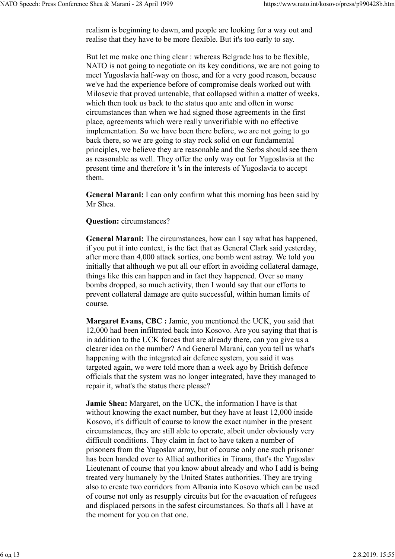realism is beginning to dawn, and people are looking for a way out and realise that they have to be more flexible. But it's too early to say.

But let me make one thing clear : whereas Belgrade has to be flexible, NATO is not going to negotiate on its key conditions, we are not going to meet Yugoslavia half-way on those, and for a very good reason, because we've had the experience before of compromise deals worked out with Milosevic that proved untenable, that collapsed within a matter of weeks, which then took us back to the status quo ante and often in worse circumstances than when we had signed those agreements in the first place, agreements which were really unverifiable with no effective implementation. So we have been there before, we are not going to go back there, so we are going to stay rock solid on our fundamental principles, we believe they are reasonable and the Serbs should see them as reasonable as well. They offer the only way out for Yugoslavia at the present time and therefore it 's in the interests of Yugoslavia to accept them.

General Marani: I can only confirm what this morning has been said by Mr Shea.

## Question: circumstances?

General Marani: The circumstances, how can I say what has happened, if you put it into context, is the fact that as General Clark said yesterday, after more than 4,000 attack sorties, one bomb went astray. We told you initially that although we put all our effort in avoiding collateral damage, things like this can happen and in fact they happened. Over so many bombs dropped, so much activity, then I would say that our efforts to prevent collateral damage are quite successful, within human limits of course.

Margaret Evans, CBC : Jamie, you mentioned the UCK, you said that 12,000 had been infiltrated back into Kosovo. Are you saying that that is in addition to the UCK forces that are already there, can you give us a clearer idea on the number? And General Marani, can you tell us what's happening with the integrated air defence system, you said it was targeted again, we were told more than a week ago by British defence officials that the system was no longer integrated, have they managed to repair it, what's the status there please?

Jamie Shea: Margaret, on the UCK, the information I have is that without knowing the exact number, but they have at least 12,000 inside Kosovo, it's difficult of course to know the exact number in the present circumstances, they are still able to operate, albeit under obviously very difficult conditions. They claim in fact to have taken a number of prisoners from the Yugoslav army, but of course only one such prisoner has been handed over to Allied authorities in Tirana, that's the Yugoslav Lieutenant of course that you know about already and who I add is being treated very humanely by the United States authorities. They are trying also to create two corridors from Albania into Kosovo which can be used of course not only as resupply circuits but for the evacuation of refugees and displaced persons in the safest circumstances. So that's all I have at the moment for you on that one.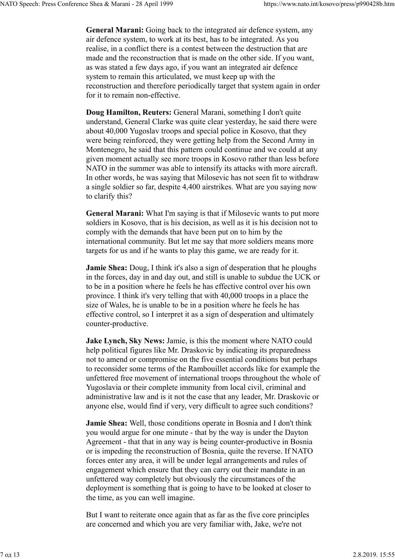General Marani: Going back to the integrated air defence system, any air defence system, to work at its best, has to be integrated. As you realise, in a conflict there is a contest between the destruction that are made and the reconstruction that is made on the other side. If you want, as was stated a few days ago, if you want an integrated air defence system to remain this articulated, we must keep up with the reconstruction and therefore periodically target that system again in order for it to remain non-effective.

Doug Hamilton, Reuters: General Marani, something I don't quite understand, General Clarke was quite clear yesterday, he said there were about 40,000 Yugoslav troops and special police in Kosovo, that they were being reinforced, they were getting help from the Second Army in Montenegro, he said that this pattern could continue and we could at any given moment actually see more troops in Kosovo rather than less before NATO in the summer was able to intensify its attacks with more aircraft. In other words, he was saying that Milosevic has not seen fit to withdraw a single soldier so far, despite 4,400 airstrikes. What are you saying now to clarify this?

General Marani: What I'm saying is that if Milosevic wants to put more soldiers in Kosovo, that is his decision, as well as it is his decision not to comply with the demands that have been put on to him by the international community. But let me say that more soldiers means more targets for us and if he wants to play this game, we are ready for it.

Jamie Shea: Doug, I think it's also a sign of desperation that he ploughs in the forces, day in and day out, and still is unable to subdue the UCK or to be in a position where he feels he has effective control over his own province. I think it's very telling that with 40,000 troops in a place the size of Wales, he is unable to be in a position where he feels he has effective control, so I interpret it as a sign of desperation and ultimately counter-productive.

Jake Lynch, Sky News: Jamie, is this the moment where NATO could help political figures like Mr. Draskovic by indicating its preparedness not to amend or compromise on the five essential conditions but perhaps to reconsider some terms of the Rambouillet accords like for example the unfettered free movement of international troops throughout the whole of Yugoslavia or their complete immunity from local civil, criminal and administrative law and is it not the case that any leader, Mr. Draskovic or anyone else, would find if very, very difficult to agree such conditions?

Jamie Shea: Well, those conditions operate in Bosnia and I don't think you would argue for one minute - that by the way is under the Dayton Agreement - that that in any way is being counter-productive in Bosnia or is impeding the reconstruction of Bosnia, quite the reverse. If NATO forces enter any area, it will be under legal arrangements and rules of engagement which ensure that they can carry out their mandate in an unfettered way completely but obviously the circumstances of the deployment is something that is going to have to be looked at closer to the time, as you can well imagine.

But I want to reiterate once again that as far as the five core principles are concerned and which you are very familiar with, Jake, we're not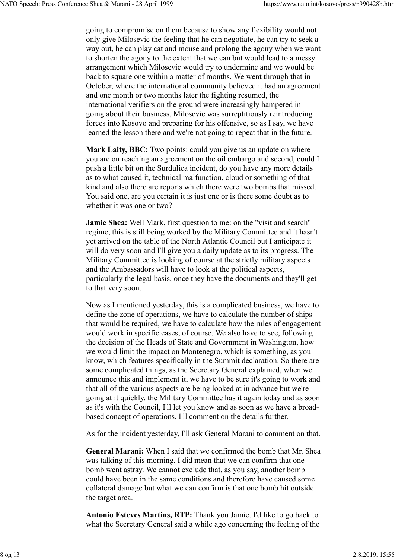going to compromise on them because to show any flexibility would not only give Milosevic the feeling that he can negotiate, he can try to seek a way out, he can play cat and mouse and prolong the agony when we want to shorten the agony to the extent that we can but would lead to a messy arrangement which Milosevic would try to undermine and we would be back to square one within a matter of months. We went through that in October, where the international community believed it had an agreement and one month or two months later the fighting resumed, the international verifiers on the ground were increasingly hampered in going about their business, Milosevic was surreptitiously reintroducing forces into Kosovo and preparing for his offensive, so as I say, we have learned the lesson there and we're not going to repeat that in the future.

Mark Laity, BBC: Two points: could you give us an update on where you are on reaching an agreement on the oil embargo and second, could I push a little bit on the Surdulica incident, do you have any more details as to what caused it, technical malfunction, cloud or something of that kind and also there are reports which there were two bombs that missed. You said one, are you certain it is just one or is there some doubt as to whether it was one or two?

Jamie Shea: Well Mark, first question to me: on the "visit and search" regime, this is still being worked by the Military Committee and it hasn't yet arrived on the table of the North Atlantic Council but I anticipate it will do very soon and I'll give you a daily update as to its progress. The Military Committee is looking of course at the strictly military aspects and the Ambassadors will have to look at the political aspects, particularly the legal basis, once they have the documents and they'll get to that very soon.

Now as I mentioned yesterday, this is a complicated business, we have to define the zone of operations, we have to calculate the number of ships that would be required, we have to calculate how the rules of engagement would work in specific cases, of course. We also have to see, following the decision of the Heads of State and Government in Washington, how we would limit the impact on Montenegro, which is something, as you know, which features specifically in the Summit declaration. So there are some complicated things, as the Secretary General explained, when we announce this and implement it, we have to be sure it's going to work and that all of the various aspects are being looked at in advance but we're going at it quickly, the Military Committee has it again today and as soon as it's with the Council, I'll let you know and as soon as we have a broadbased concept of operations, I'll comment on the details further.

As for the incident yesterday, I'll ask General Marani to comment on that.

General Marani: When I said that we confirmed the bomb that Mr. Shea was talking of this morning, I did mean that we can confirm that one bomb went astray. We cannot exclude that, as you say, another bomb could have been in the same conditions and therefore have caused some collateral damage but what we can confirm is that one bomb hit outside the target area.

Antonio Esteves Martins, RTP: Thank you Jamie. I'd like to go back to what the Secretary General said a while ago concerning the feeling of the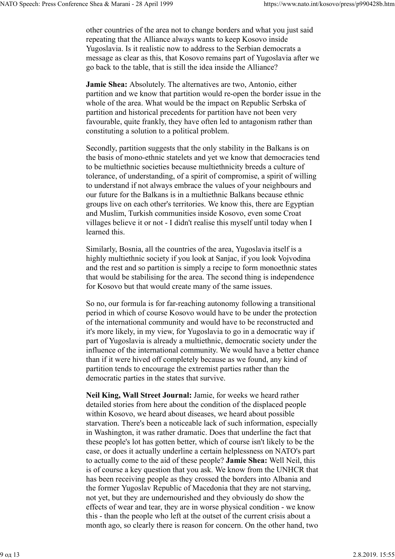other countries of the area not to change borders and what you just said repeating that the Alliance always wants to keep Kosovo inside Yugoslavia. Is it realistic now to address to the Serbian democrats a message as clear as this, that Kosovo remains part of Yugoslavia after we go back to the table, that is still the idea inside the Alliance?

Jamie Shea: Absolutely. The alternatives are two, Antonio, either partition and we know that partition would re-open the border issue in the whole of the area. What would be the impact on Republic Serbska of partition and historical precedents for partition have not been very favourable, quite frankly, they have often led to antagonism rather than constituting a solution to a political problem.

Secondly, partition suggests that the only stability in the Balkans is on the basis of mono-ethnic statelets and yet we know that democracies tend to be multiethnic societies because multiethnicity breeds a culture of tolerance, of understanding, of a spirit of compromise, a spirit of willing to understand if not always embrace the values of your neighbours and our future for the Balkans is in a multiethnic Balkans because ethnic groups live on each other's territories. We know this, there are Egyptian and Muslim, Turkish communities inside Kosovo, even some Croat villages believe it or not - I didn't realise this myself until today when I learned this.

Similarly, Bosnia, all the countries of the area, Yugoslavia itself is a highly multiethnic society if you look at Sanjac, if you look Vojvodina and the rest and so partition is simply a recipe to form monoethnic states that would be stabilising for the area. The second thing is independence for Kosovo but that would create many of the same issues.

So no, our formula is for far-reaching autonomy following a transitional period in which of course Kosovo would have to be under the protection of the international community and would have to be reconstructed and it's more likely, in my view, for Yugoslavia to go in a democratic way if part of Yugoslavia is already a multiethnic, democratic society under the influence of the international community. We would have a better chance than if it were hived off completely because as we found, any kind of partition tends to encourage the extremist parties rather than the democratic parties in the states that survive.

Neil King, Wall Street Journal: Jamie, for weeks we heard rather detailed stories from here about the condition of the displaced people within Kosovo, we heard about diseases, we heard about possible starvation. There's been a noticeable lack of such information, especially in Washington, it was rather dramatic. Does that underline the fact that these people's lot has gotten better, which of course isn't likely to be the case, or does it actually underline a certain helplessness on NATO's part to actually come to the aid of these people? Jamie Shea: Well Neil, this is of course a key question that you ask. We know from the UNHCR that has been receiving people as they crossed the borders into Albania and the former Yugoslav Republic of Macedonia that they are not starving, not yet, but they are undernourished and they obviously do show the effects of wear and tear, they are in worse physical condition - we know this - than the people who left at the outset of the current crisis about a month ago, so clearly there is reason for concern. On the other hand, two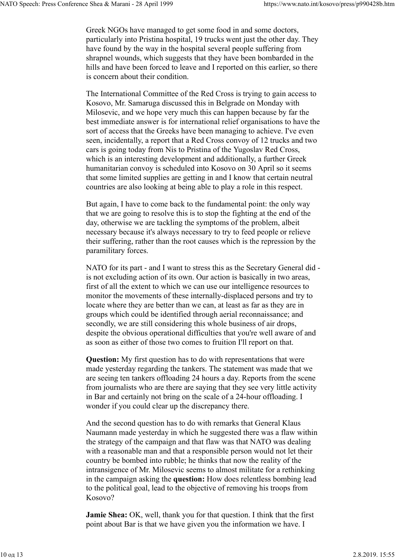Greek NGOs have managed to get some food in and some doctors, particularly into Pristina hospital, 19 trucks went just the other day. They have found by the way in the hospital several people suffering from shrapnel wounds, which suggests that they have been bombarded in the hills and have been forced to leave and I reported on this earlier, so there is concern about their condition.

The International Committee of the Red Cross is trying to gain access to Kosovo, Mr. Samaruga discussed this in Belgrade on Monday with Milosevic, and we hope very much this can happen because by far the best immediate answer is for international relief organisations to have the sort of access that the Greeks have been managing to achieve. I've even seen, incidentally, a report that a Red Cross convoy of 12 trucks and two cars is going today from Nis to Pristina of the Yugoslav Red Cross, which is an interesting development and additionally, a further Greek humanitarian convoy is scheduled into Kosovo on 30 April so it seems that some limited supplies are getting in and I know that certain neutral countries are also looking at being able to play a role in this respect.

But again, I have to come back to the fundamental point: the only way that we are going to resolve this is to stop the fighting at the end of the day, otherwise we are tackling the symptoms of the problem, albeit necessary because it's always necessary to try to feed people or relieve their suffering, rather than the root causes which is the repression by the paramilitary forces.

NATO for its part - and I want to stress this as the Secretary General did is not excluding action of its own. Our action is basically in two areas, first of all the extent to which we can use our intelligence resources to monitor the movements of these internally-displaced persons and try to locate where they are better than we can, at least as far as they are in groups which could be identified through aerial reconnaissance; and secondly, we are still considering this whole business of air drops, despite the obvious operational difficulties that you're well aware of and as soon as either of those two comes to fruition I'll report on that.

Question: My first question has to do with representations that were made yesterday regarding the tankers. The statement was made that we are seeing ten tankers offloading 24 hours a day. Reports from the scene from journalists who are there are saying that they see very little activity in Bar and certainly not bring on the scale of a 24-hour offloading. I wonder if you could clear up the discrepancy there.

And the second question has to do with remarks that General Klaus Naumann made yesterday in which he suggested there was a flaw within the strategy of the campaign and that flaw was that NATO was dealing with a reasonable man and that a responsible person would not let their country be bombed into rubble; he thinks that now the reality of the intransigence of Mr. Milosevic seems to almost militate for a rethinking in the campaign asking the question: How does relentless bombing lead to the political goal, lead to the objective of removing his troops from Kosovo?

Jamie Shea: OK, well, thank you for that question. I think that the first point about Bar is that we have given you the information we have. I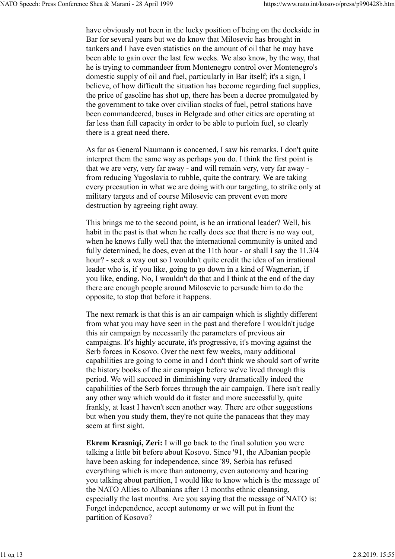have obviously not been in the lucky position of being on the dockside in Bar for several years but we do know that Milosevic has brought in tankers and I have even statistics on the amount of oil that he may have been able to gain over the last few weeks. We also know, by the way, that he is trying to commandeer from Montenegro control over Montenegro's domestic supply of oil and fuel, particularly in Bar itself; it's a sign, I believe, of how difficult the situation has become regarding fuel supplies, the price of gasoline has shot up, there has been a decree promulgated by the government to take over civilian stocks of fuel, petrol stations have been commandeered, buses in Belgrade and other cities are operating at far less than full capacity in order to be able to purloin fuel, so clearly there is a great need there.

As far as General Naumann is concerned, I saw his remarks. I don't quite interpret them the same way as perhaps you do. I think the first point is that we are very, very far away - and will remain very, very far away from reducing Yugoslavia to rubble, quite the contrary. We are taking every precaution in what we are doing with our targeting, to strike only at military targets and of course Milosevic can prevent even more destruction by agreeing right away.

This brings me to the second point, is he an irrational leader? Well, his habit in the past is that when he really does see that there is no way out, when he knows fully well that the international community is united and fully determined, he does, even at the 11th hour - or shall I say the 11.3/4 hour? - seek a way out so I wouldn't quite credit the idea of an irrational leader who is, if you like, going to go down in a kind of Wagnerian, if you like, ending. No, I wouldn't do that and I think at the end of the day there are enough people around Milosevic to persuade him to do the opposite, to stop that before it happens.

The next remark is that this is an air campaign which is slightly different from what you may have seen in the past and therefore I wouldn't judge this air campaign by necessarily the parameters of previous air campaigns. It's highly accurate, it's progressive, it's moving against the Serb forces in Kosovo. Over the next few weeks, many additional capabilities are going to come in and I don't think we should sort of write the history books of the air campaign before we've lived through this period. We will succeed in diminishing very dramatically indeed the capabilities of the Serb forces through the air campaign. There isn't really any other way which would do it faster and more successfully, quite frankly, at least I haven't seen another way. There are other suggestions but when you study them, they're not quite the panaceas that they may seem at first sight.

Ekrem Krasniqi, Zeri: I will go back to the final solution you were talking a little bit before about Kosovo. Since '91, the Albanian people have been asking for independence, since '89, Serbia has refused everything which is more than autonomy, even autonomy and hearing you talking about partition, I would like to know which is the message of the NATO Allies to Albanians after 13 months ethnic cleansing, especially the last months. Are you saying that the message of NATO is: Forget independence, accept autonomy or we will put in front the partition of Kosovo?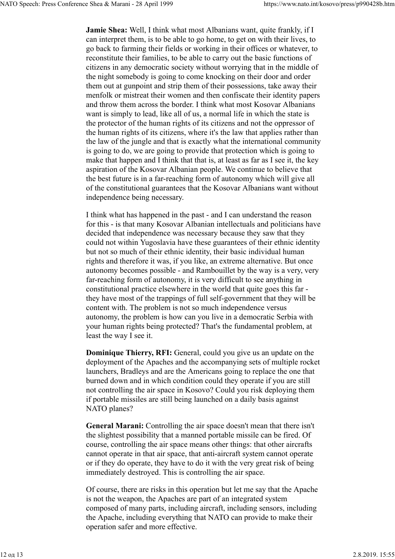Jamie Shea: Well, I think what most Albanians want, quite frankly, if I can interpret them, is to be able to go home, to get on with their lives, to go back to farming their fields or working in their offices or whatever, to reconstitute their families, to be able to carry out the basic functions of citizens in any democratic society without worrying that in the middle of the night somebody is going to come knocking on their door and order them out at gunpoint and strip them of their possessions, take away their menfolk or mistreat their women and then confiscate their identity papers and throw them across the border. I think what most Kosovar Albanians want is simply to lead, like all of us, a normal life in which the state is the protector of the human rights of its citizens and not the oppressor of the human rights of its citizens, where it's the law that applies rather than the law of the jungle and that is exactly what the international community is going to do, we are going to provide that protection which is going to make that happen and I think that that is, at least as far as I see it, the key aspiration of the Kosovar Albanian people. We continue to believe that the best future is in a far-reaching form of autonomy which will give all of the constitutional guarantees that the Kosovar Albanians want without independence being necessary.

I think what has happened in the past - and I can understand the reason for this - is that many Kosovar Albanian intellectuals and politicians have decided that independence was necessary because they saw that they could not within Yugoslavia have these guarantees of their ethnic identity but not so much of their ethnic identity, their basic individual human rights and therefore it was, if you like, an extreme alternative. But once autonomy becomes possible - and Rambouillet by the way is a very, very far-reaching form of autonomy, it is very difficult to see anything in constitutional practice elsewhere in the world that quite goes this far they have most of the trappings of full self-government that they will be content with. The problem is not so much independence versus autonomy, the problem is how can you live in a democratic Serbia with your human rights being protected? That's the fundamental problem, at least the way I see it.

Dominique Thierry, RFI: General, could you give us an update on the deployment of the Apaches and the accompanying sets of multiple rocket launchers, Bradleys and are the Americans going to replace the one that burned down and in which condition could they operate if you are still not controlling the air space in Kosovo? Could you risk deploying them if portable missiles are still being launched on a daily basis against NATO planes?

General Marani: Controlling the air space doesn't mean that there isn't the slightest possibility that a manned portable missile can be fired. Of course, controlling the air space means other things: that other aircrafts cannot operate in that air space, that anti-aircraft system cannot operate or if they do operate, they have to do it with the very great risk of being immediately destroyed. This is controlling the air space.

Of course, there are risks in this operation but let me say that the Apache is not the weapon, the Apaches are part of an integrated system composed of many parts, including aircraft, including sensors, including the Apache, including everything that NATO can provide to make their operation safer and more effective.